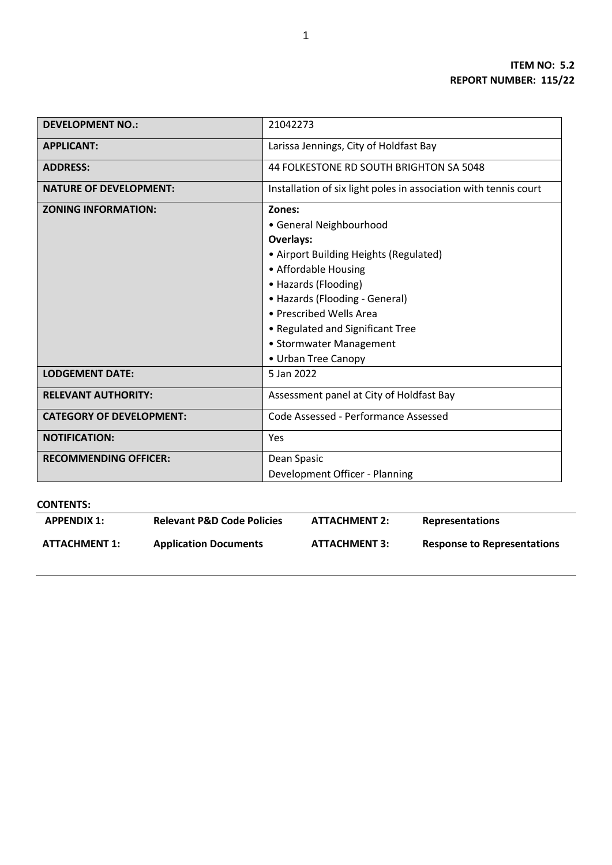| <b>DEVELOPMENT NO.:</b>         | 21042273                                                         |  |  |
|---------------------------------|------------------------------------------------------------------|--|--|
| <b>APPLICANT:</b>               | Larissa Jennings, City of Holdfast Bay                           |  |  |
| <b>ADDRESS:</b>                 | 44 FOLKESTONE RD SOUTH BRIGHTON SA 5048                          |  |  |
| <b>NATURE OF DEVELOPMENT:</b>   | Installation of six light poles in association with tennis court |  |  |
| <b>ZONING INFORMATION:</b>      | Zones:                                                           |  |  |
|                                 | • General Neighbourhood                                          |  |  |
|                                 | Overlays:                                                        |  |  |
|                                 | • Airport Building Heights (Regulated)                           |  |  |
|                                 | • Affordable Housing                                             |  |  |
|                                 | • Hazards (Flooding)                                             |  |  |
|                                 | • Hazards (Flooding - General)                                   |  |  |
|                                 | • Prescribed Wells Area                                          |  |  |
|                                 | • Regulated and Significant Tree                                 |  |  |
|                                 | • Stormwater Management                                          |  |  |
|                                 | • Urban Tree Canopy                                              |  |  |
| <b>LODGEMENT DATE:</b>          | 5 Jan 2022                                                       |  |  |
| <b>RELEVANT AUTHORITY:</b>      | Assessment panel at City of Holdfast Bay                         |  |  |
| <b>CATEGORY OF DEVELOPMENT:</b> | Code Assessed - Performance Assessed                             |  |  |
| <b>NOTIFICATION:</b>            | Yes                                                              |  |  |
| <b>RECOMMENDING OFFICER:</b>    | Dean Spasic                                                      |  |  |
|                                 | Development Officer - Planning                                   |  |  |

## **CONTENTS:**

| <b>APPENDIX 1:</b> | <b>Relevant P&amp;D Code Policies</b> | <b>ATTACHMENT 2:</b> | <b>Representations</b>      |
|--------------------|---------------------------------------|----------------------|-----------------------------|
| ATTACHMENT 1:      | <b>Application Documents</b>          | <b>ATTACHMENT 3:</b> | Response to Representations |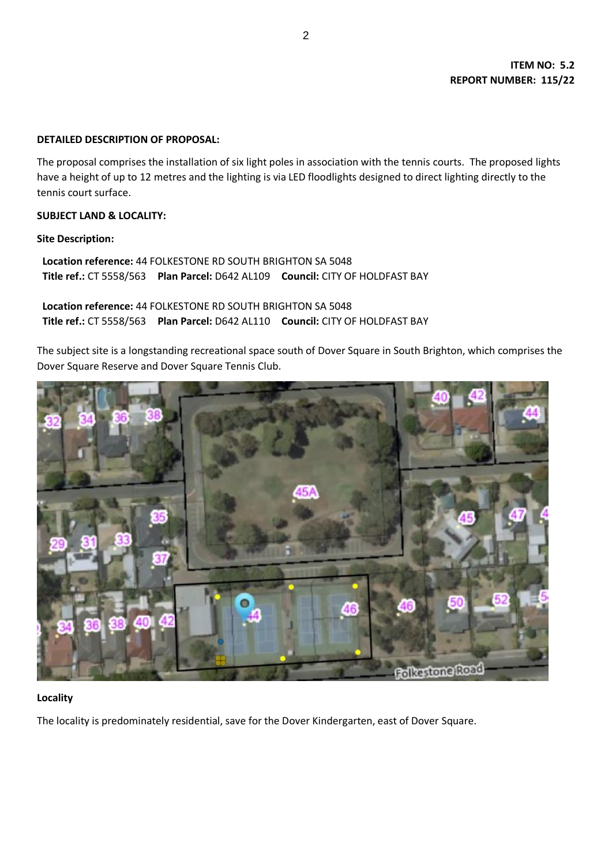#### **DETAILED DESCRIPTION OF PROPOSAL:**

The proposal comprises the installation of six light poles in association with the tennis courts. The proposed lights have a height of up to 12 metres and the lighting is via LED floodlights designed to direct lighting directly to the tennis court surface.

#### **SUBJECT LAND & LOCALITY:**

#### **Site Description:**

**Location reference:** 44 FOLKESTONE RD SOUTH BRIGHTON SA 5048 **Title ref.:** CT 5558/563 **Plan Parcel:** D642 AL109 **Council:** CITY OF HOLDFAST BAY

**Location reference:** 44 FOLKESTONE RD SOUTH BRIGHTON SA 5048 **Title ref.:** CT 5558/563 **Plan Parcel:** D642 AL110 **Council:** CITY OF HOLDFAST BAY

The subject site is a longstanding recreational space south of Dover Square in South Brighton, which comprises the Dover Square Reserve and Dover Square Tennis Club.



### **Locality**

The locality is predominately residential, save for the Dover Kindergarten, east of Dover Square.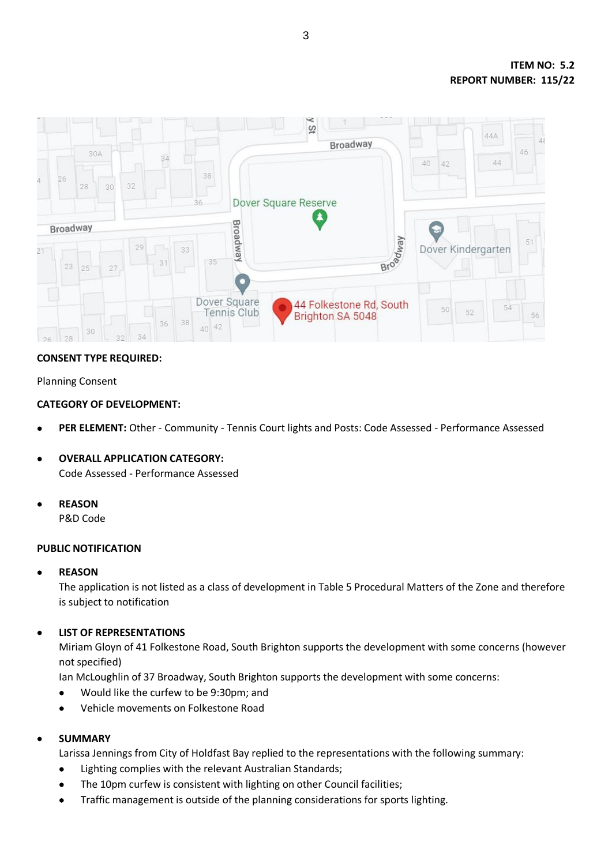

# **CONSENT TYPE REQUIRED:**

# Planning Consent

# **CATEGORY OF DEVELOPMENT:**

- **PER ELEMENT:** Other Community Tennis Court lights and Posts: Code Assessed Performance Assessed
- **OVERALL APPLICATION CATEGORY:** Code Assessed - Performance Assessed
- **REASON**

P&D Code

### **PUBLIC NOTIFICATION**

### **REASON**

The application is not listed as a class of development in Table 5 Procedural Matters of the Zone and therefore is subject to notification

### **LIST OF REPRESENTATIONS**

Miriam Gloyn of 41 Folkestone Road, South Brighton supports the development with some concerns (however not specified)

Ian McLoughlin of 37 Broadway, South Brighton supports the development with some concerns:

- Would like the curfew to be 9:30pm; and
- Vehicle movements on Folkestone Road

### **SUMMARY**

Larissa Jennings from City of Holdfast Bay replied to the representations with the following summary:

- Lighting complies with the relevant Australian Standards;
- The 10pm curfew is consistent with lighting on other Council facilities;
- Traffic management is outside of the planning considerations for sports lighting.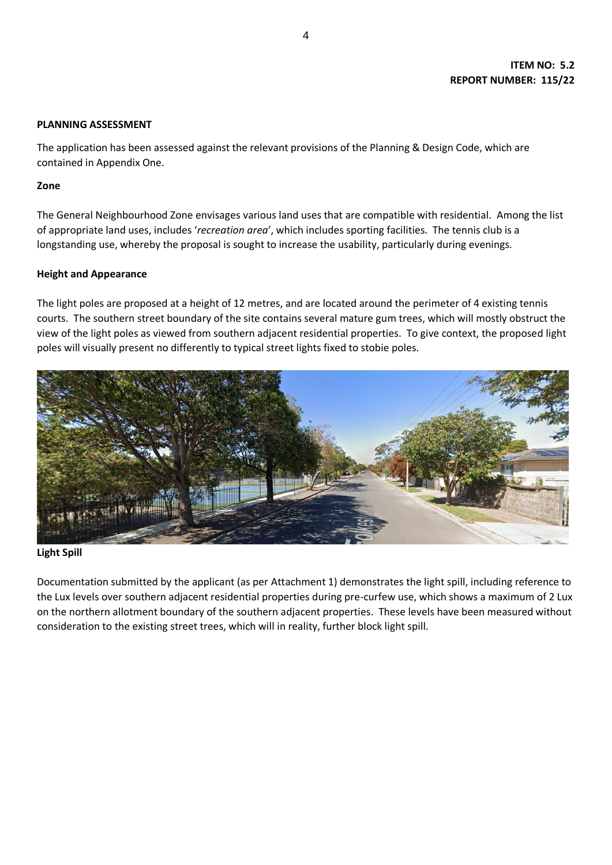## **ITEM NO: 5.2 REPORT NUMBER: 115/22**

#### **PLANNING ASSESSMENT**

The application has been assessed against the relevant provisions of the Planning & Design Code, which are contained in Appendix One.

#### **Zone**

The General Neighbourhood Zone envisages various land uses that are compatible with residential. Among the list of appropriate land uses, includes '*recreation area*', which includes sporting facilities. The tennis club is a longstanding use, whereby the proposal is sought to increase the usability, particularly during evenings.

### **Height and Appearance**

The light poles are proposed at a height of 12 metres, and are located around the perimeter of 4 existing tennis courts. The southern street boundary of the site contains several mature gum trees, which will mostly obstruct the view of the light poles as viewed from southern adjacent residential properties. To give context, the proposed light poles will visually present no differently to typical street lights fixed to stobie poles.



### **Light Spill**

Documentation submitted by the applicant (as per Attachment 1) demonstrates the light spill, including reference to the Lux levels over southern adjacent residential properties during pre-curfew use, which shows a maximum of 2 Lux on the northern allotment boundary of the southern adjacent properties. These levels have been measured without consideration to the existing street trees, which will in reality, further block light spill.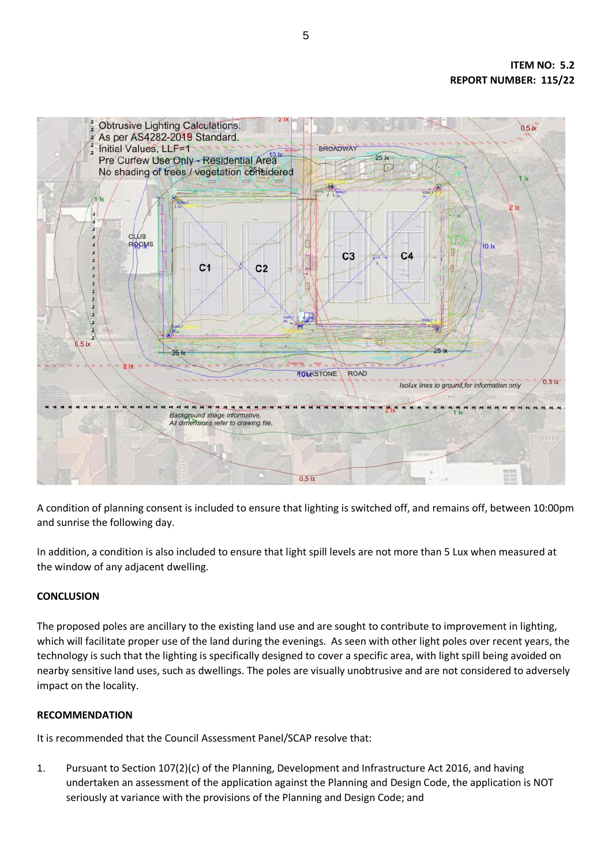

A condition of planning consent is included to ensure that lighting is switched off, and remains off, between 10:00pm and sunrise the following day.

In addition, a condition is also included to ensure that light spill levels are not more than 5 Lux when measured at the window of any adjacent dwelling.

# **CONCLUSION**

The proposed poles are ancillary to the existing land use and are sought to contribute to improvement in lighting, which will facilitate proper use of the land during the evenings. As seen with other light poles over recent years, the technology is such that the lighting is specifically designed to cover a specific area, with light spill being avoided on nearby sensitive land uses, such as dwellings. The poles are visually unobtrusive and are not considered to adversely impact on the locality.

# **RECOMMENDATION**

It is recommended that the Council Assessment Panel/SCAP resolve that:

1. Pursuant to Section 107(2)(c) of the Planning, Development and Infrastructure Act 2016, and having undertaken an assessment of the application against the Planning and Design Code, the application is NOT seriously at variance with the provisions of the Planning and Design Code; and